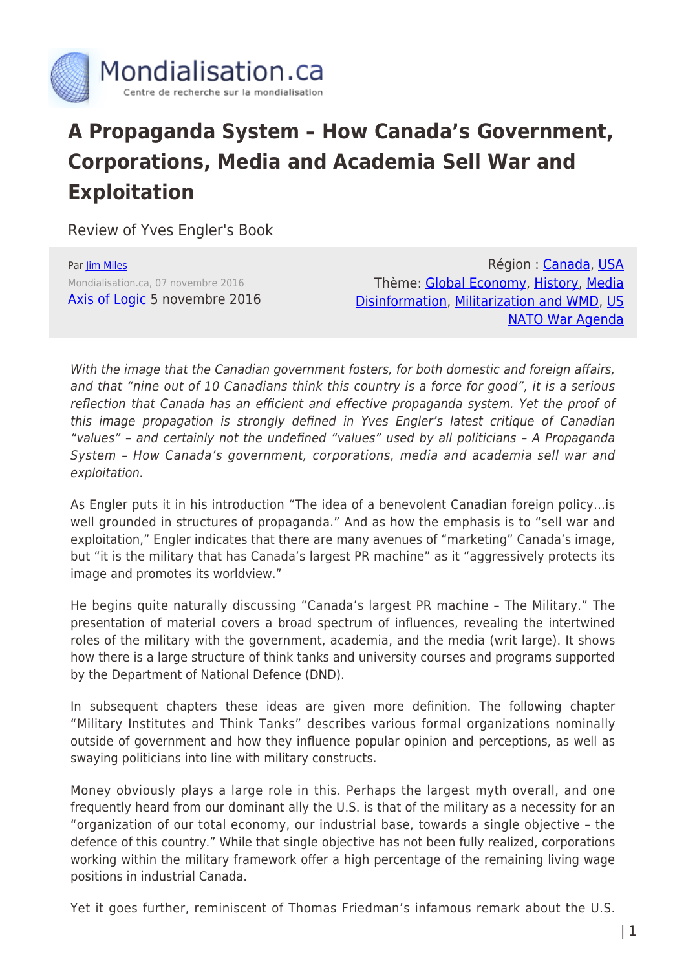

## **A Propaganda System – How Canada's Government, Corporations, Media and Academia Sell War and Exploitation**

Review of Yves Engler's Book

Par [Jim Miles](https://www.mondialisation.ca/author/jim-miles) Mondialisation.ca, 07 novembre 2016 [Axis of Logic](http://axisoflogic.com/artman/publish/Article_75486.shtml) 5 novembre 2016

Région : [Canada,](https://www.mondialisation.ca/region/canada) [USA](https://www.mondialisation.ca/region/usa) Thème: [Global Economy,](https://www.mondialisation.ca/theme/global-economy) [History](https://www.mondialisation.ca/theme/culture-society-history), [Media](https://www.mondialisation.ca/theme/media-disinformation) [Disinformation,](https://www.mondialisation.ca/theme/media-disinformation) [Militarization and WMD,](https://www.mondialisation.ca/theme/militarization-and-wmd) [US](https://www.mondialisation.ca/theme/us-nato-war-agenda) [NATO War Agenda](https://www.mondialisation.ca/theme/us-nato-war-agenda)

With the image that the Canadian government fosters, for both domestic and foreign affairs, and that "nine out of 10 Canadians think this country is a force for good", it is a serious reflection that Canada has an efficient and effective propaganda system. Yet the proof of this image propagation is strongly defined in Yves Engler's latest critique of Canadian "values" – and certainly not the undefined "values" used by all politicians – A Propaganda System – How Canada's government, corporations, media and academia sell war and exploitation.

As Engler puts it in his introduction "The idea of a benevolent Canadian foreign policy…is well grounded in structures of propaganda." And as how the emphasis is to "sell war and exploitation," Engler indicates that there are many avenues of "marketing" Canada's image, but "it is the military that has Canada's largest PR machine" as it "aggressively protects its image and promotes its worldview."

He begins quite naturally discussing "Canada's largest PR machine – The Military." The presentation of material covers a broad spectrum of influences, revealing the intertwined roles of the military with the government, academia, and the media (writ large). It shows how there is a large structure of think tanks and university courses and programs supported by the Department of National Defence (DND).

In subsequent chapters these ideas are given more definition. The following chapter "Military Institutes and Think Tanks" describes various formal organizations nominally outside of government and how they influence popular opinion and perceptions, as well as swaying politicians into line with military constructs.

Money obviously plays a large role in this. Perhaps the largest myth overall, and one frequently heard from our dominant ally the U.S. is that of the military as a necessity for an "organization of our total economy, our industrial base, towards a single objective – the defence of this country." While that single objective has not been fully realized, corporations working within the military framework offer a high percentage of the remaining living wage positions in industrial Canada.

Yet it goes further, reminiscent of Thomas Friedman's infamous remark about the U.S.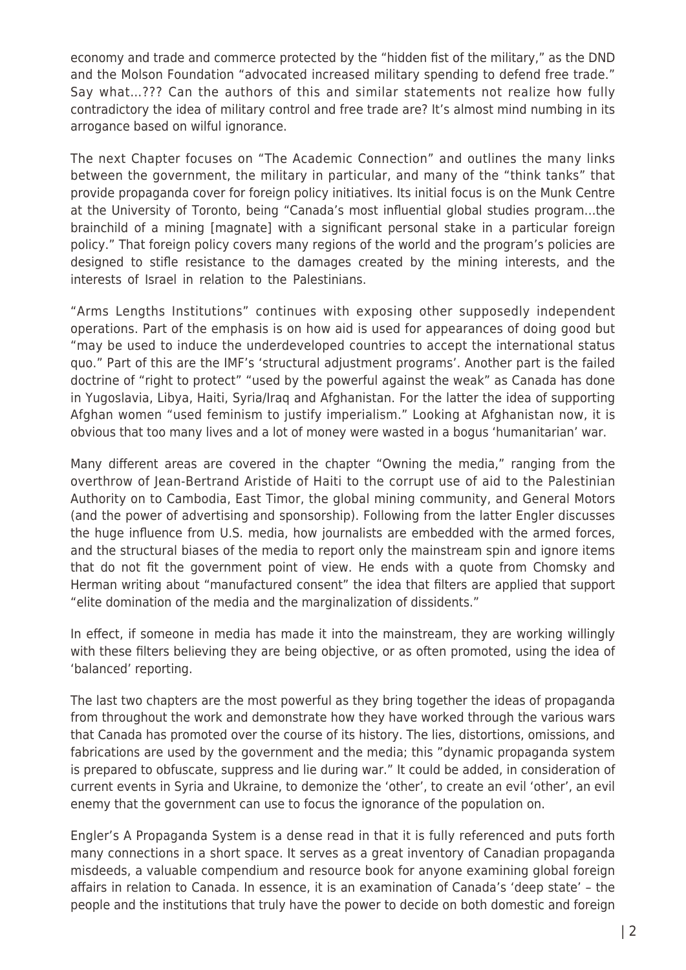economy and trade and commerce protected by the "hidden fist of the military," as the DND and the Molson Foundation "advocated increased military spending to defend free trade." Say what…??? Can the authors of this and similar statements not realize how fully contradictory the idea of military control and free trade are? It's almost mind numbing in its arrogance based on wilful ignorance.

The next Chapter focuses on "The Academic Connection" and outlines the many links between the government, the military in particular, and many of the "think tanks" that provide propaganda cover for foreign policy initiatives. Its initial focus is on the Munk Centre at the University of Toronto, being "Canada's most influential global studies program…the brainchild of a mining [magnate] with a significant personal stake in a particular foreign policy." That foreign policy covers many regions of the world and the program's policies are designed to stifle resistance to the damages created by the mining interests, and the interests of Israel in relation to the Palestinians.

"Arms Lengths Institutions" continues with exposing other supposedly independent operations. Part of the emphasis is on how aid is used for appearances of doing good but "may be used to induce the underdeveloped countries to accept the international status quo." Part of this are the IMF's 'structural adjustment programs'. Another part is the failed doctrine of "right to protect" "used by the powerful against the weak" as Canada has done in Yugoslavia, Libya, Haiti, Syria/Iraq and Afghanistan. For the latter the idea of supporting Afghan women "used feminism to justify imperialism." Looking at Afghanistan now, it is obvious that too many lives and a lot of money were wasted in a bogus 'humanitarian' war.

Many different areas are covered in the chapter "Owning the media," ranging from the overthrow of Jean-Bertrand Aristide of Haiti to the corrupt use of aid to the Palestinian Authority on to Cambodia, East Timor, the global mining community, and General Motors (and the power of advertising and sponsorship). Following from the latter Engler discusses the huge influence from U.S. media, how journalists are embedded with the armed forces, and the structural biases of the media to report only the mainstream spin and ignore items that do not fit the government point of view. He ends with a quote from Chomsky and Herman writing about "manufactured consent" the idea that filters are applied that support "elite domination of the media and the marginalization of dissidents."

In effect, if someone in media has made it into the mainstream, they are working willingly with these filters believing they are being objective, or as often promoted, using the idea of 'balanced' reporting.

The last two chapters are the most powerful as they bring together the ideas of propaganda from throughout the work and demonstrate how they have worked through the various wars that Canada has promoted over the course of its history. The lies, distortions, omissions, and fabrications are used by the government and the media; this "dynamic propaganda system is prepared to obfuscate, suppress and lie during war." It could be added, in consideration of current events in Syria and Ukraine, to demonize the 'other', to create an evil 'other', an evil enemy that the government can use to focus the ignorance of the population on.

Engler's A Propaganda System is a dense read in that it is fully referenced and puts forth many connections in a short space. It serves as a great inventory of Canadian propaganda misdeeds, a valuable compendium and resource book for anyone examining global foreign affairs in relation to Canada. In essence, it is an examination of Canada's 'deep state' – the people and the institutions that truly have the power to decide on both domestic and foreign